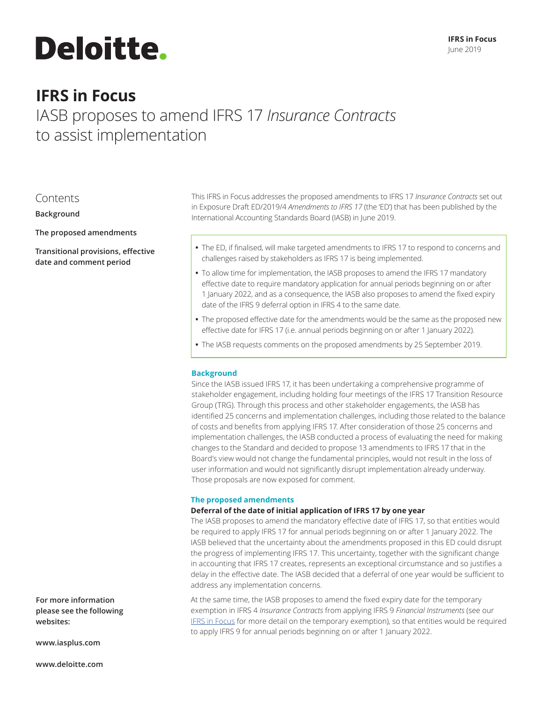# **Deloitte.**

## **IFRS in Focus**

IASB proposes to amend IFRS 17 *Insurance Contracts* to assist implementation

### Contents

**Background**

**The proposed amendments**

**Transitional provisions, effective date and comment period**

This IFRS in Focus addresses the proposed amendments to IFRS 17 *Insurance Contracts* set out in Exposure Draft ED/2019/4 *Amendments to IFRS 17* (the 'ED') that has been published by the International Accounting Standards Board (IASB) in June 2019.

- **•** The ED, if finalised, will make targeted amendments to IFRS 17 to respond to concerns and challenges raised by stakeholders as IFRS 17 is being implemented.
- **•** To allow time for implementation, the IASB proposes to amend the IFRS 17 mandatory effective date to require mandatory application for annual periods beginning on or after 1 January 2022, and as a consequence, the IASB also proposes to amend the fixed expiry date of the IFRS 9 deferral option in IFRS 4 to the same date.
- **•** The proposed effective date for the amendments would be the same as the proposed new effective date for IFRS 17 (i.e. annual periods beginning on or after 1 January 2022).
- **•** The IASB requests comments on the proposed amendments by 25 September 2019.

#### **Background**

Since the IASB issued IFRS 17, it has been undertaking a comprehensive programme of stakeholder engagement, including holding four meetings of the IFRS 17 Transition Resource Group (TRG). Through this process and other stakeholder engagements, the IASB has identified 25 concerns and implementation challenges, including those related to the balance of costs and benefits from applying IFRS 17. After consideration of those 25 concerns and implementation challenges, the IASB conducted a process of evaluating the need for making changes to the Standard and decided to propose 13 amendments to IFRS 17 that in the Board's view would not change the fundamental principles, would not result in the loss of user information and would not significantly disrupt implementation already underway. Those proposals are now exposed for comment.

#### **The proposed amendments**

#### **Deferral of the date of initial application of IFRS 17 by one year**

The IASB proposes to amend the mandatory effective date of IFRS 17, so that entities would be required to apply IFRS 17 for annual periods beginning on or after 1 January 2022. The IASB believed that the uncertainty about the amendments proposed in this ED could disrupt the progress of implementing IFRS 17. This uncertainty, together with the significant change in accounting that IFRS 17 creates, represents an exceptional circumstance and so justifies a delay in the effective date. The IASB decided that a deferral of one year would be sufficient to address any implementation concerns.

At the same time, the IASB proposes to amend the fixed expiry date for the temporary exemption in IFRS 4 *Insurance Contracts* from applying IFRS 9 *Financial Instruments* (see our IFRS in Focus for more detail on the temporary exemption), so that entities would be required to apply IFRS 9 for annual periods beginning on or after 1 January 2022.

**For more information please see the following websites:**

**www.iasplus.com**

**www.deloitte.com**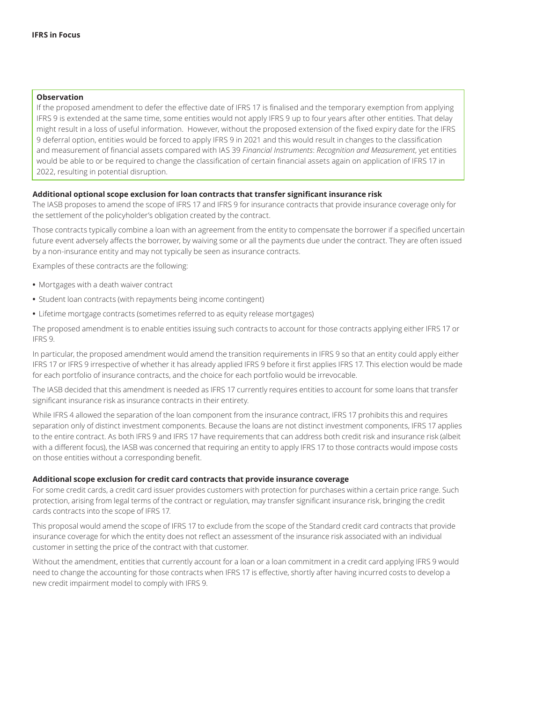#### **Observation**

If the proposed amendment to defer the effective date of IFRS 17 is finalised and the temporary exemption from applying IFRS 9 is extended at the same time, some entities would not apply IFRS 9 up to four years after other entities. That delay might result in a loss of useful information. However, without the proposed extension of the fixed expiry date for the IFRS 9 deferral option, entities would be forced to apply IFRS 9 in 2021 and this would result in changes to the classification and measurement of financial assets compared with IAS 39 *Financial Instruments*: *Recognition and Measurement*, yet entities would be able to or be required to change the classification of certain financial assets again on application of IFRS 17 in 2022, resulting in potential disruption.

#### **Additional optional scope exclusion for loan contracts that transfer significant insurance risk**

The IASB proposes to amend the scope of IFRS 17 and IFRS 9 for insurance contracts that provide insurance coverage only for the settlement of the policyholder's obligation created by the contract.

Those contracts typically combine a loan with an agreement from the entity to compensate the borrower if a specified uncertain future event adversely affects the borrower, by waiving some or all the payments due under the contract. They are often issued by a non-insurance entity and may not typically be seen as insurance contracts.

Examples of these contracts are the following:

- **•** Mortgages with a death waiver contract
- **•** Student loan contracts (with repayments being income contingent)
- **•** Lifetime mortgage contracts (sometimes referred to as equity release mortgages)

The proposed amendment is to enable entities issuing such contracts to account for those contracts applying either IFRS 17 or IFRS 9.

In particular, the proposed amendment would amend the transition requirements in IFRS 9 so that an entity could apply either IFRS 17 or IFRS 9 irrespective of whether it has already applied IFRS 9 before it first applies IFRS 17. This election would be made for each portfolio of insurance contracts, and the choice for each portfolio would be irrevocable.

The IASB decided that this amendment is needed as IFRS 17 currently requires entities to account for some loans that transfer significant insurance risk as insurance contracts in their entirety.

While IFRS 4 allowed the separation of the loan component from the insurance contract, IFRS 17 prohibits this and requires separation only of distinct investment components. Because the loans are not distinct investment components, IFRS 17 applies to the entire contract. As both IFRS 9 and IFRS 17 have requirements that can address both credit risk and insurance risk (albeit with a different focus), the IASB was concerned that requiring an entity to apply IFRS 17 to those contracts would impose costs on those entities without a corresponding benefit.

#### **Additional scope exclusion for credit card contracts that provide insurance coverage**

For some credit cards, a credit card issuer provides customers with protection for purchases within a certain price range. Such protection, arising from legal terms of the contract or regulation, may transfer significant insurance risk, bringing the credit cards contracts into the scope of IFRS 17.

This proposal would amend the scope of IFRS 17 to exclude from the scope of the Standard credit card contracts that provide insurance coverage for which the entity does not reflect an assessment of the insurance risk associated with an individual customer in setting the price of the contract with that customer.

Without the amendment, entities that currently account for a loan or a loan commitment in a credit card applying IFRS 9 would need to change the accounting for those contracts when IFRS 17 is effective, shortly after having incurred costs to develop a new credit impairment model to comply with IFRS 9.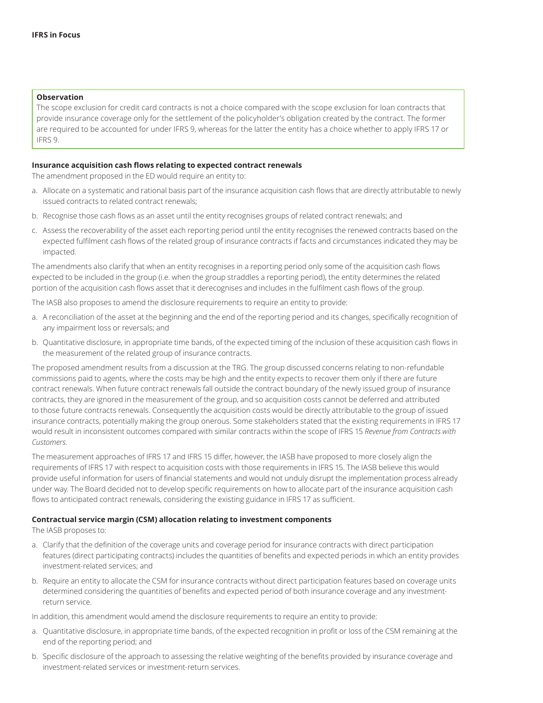#### **Observation**

The scope exclusion for credit card contracts is not a choice compared with the scope exclusion for loan contracts that provide insurance coverage only for the settlement of the policyholder's obligation created by the contract. The former are required to be accounted for under IFRS 9, whereas for the latter the entity has a choice whether to apply IFRS 17 or IFRS 9.

#### **Insurance acquisition cash flows relating to expected contract renewals**

The amendment proposed in the ED would require an entity to:

- a. Allocate on a systematic and rational basis part of the insurance acquisition cash flows that are directly attributable to newly issued contracts to related contract renewals;
- b. Recognise those cash flows as an asset until the entity recognises groups of related contract renewals; and
- c. Assess the recoverability of the asset each reporting period until the entity recognises the renewed contracts based on the expected fulfilment cash flows of the related group of insurance contracts if facts and circumstances indicated they may be impacted.

The amendments also clarify that when an entity recognises in a reporting period only some of the acquisition cash flows expected to be included in the group (i.e. when the group straddles a reporting period), the entity determines the related portion of the acquisition cash flows asset that it derecognises and includes in the fulfilment cash flows of the group.

The IASB also proposes to amend the disclosure requirements to require an entity to provide:

- a. A reconciliation of the asset at the beginning and the end of the reporting period and its changes, specifically recognition of any impairment loss or reversals; and
- b. Quantitative disclosure, in appropriate time bands, of the expected timing of the inclusion of these acquisition cash flows in the measurement of the related group of insurance contracts.

The proposed amendment results from a discussion at the TRG. The group discussed concerns relating to non-refundable commissions paid to agents, where the costs may be high and the entity expects to recover them only if there are future contract renewals. When future contract renewals fall outside the contract boundary of the newly issued group of insurance contracts, they are ignored in the measurement of the group, and so acquisition costs cannot be deferred and attributed to those future contracts renewals. Consequently the acquisition costs would be directly attributable to the group of issued insurance contracts, potentially making the group onerous. Some stakeholders stated that the existing requirements in IFRS 17 would result in inconsistent outcomes compared with similar contracts within the scope of IFRS 15 *Revenue from Contracts with Customers.* 

The measurement approaches of IFRS 17 and IFRS 15 differ, however, the IASB have proposed to more closely align the requirements of IFRS 17 with respect to acquisition costs with those requirements in IFRS 15. The IASB believe this would provide useful information for users of financial statements and would not unduly disrupt the implementation process already under way. The Board decided not to develop specific requirements on how to allocate part of the insurance acquisition cash flows to anticipated contract renewals, considering the existing guidance in IFRS 17 as sufficient.

#### **Contractual service margin (CSM) allocation relating to investment components**

The IASB proposes to:

- a. Clarify that the definition of the coverage units and coverage period for insurance contracts with direct participation features (direct participating contracts) includes the quantities of benefits and expected periods in which an entity provides investment-related services; and
- b. Require an entity to allocate the CSM for insurance contracts without direct participation features based on coverage units determined considering the quantities of benefits and expected period of both insurance coverage and any investmentreturn service.

In addition, this amendment would amend the disclosure requirements to require an entity to provide:

- a. Quantitative disclosure, in appropriate time bands, of the expected recognition in profit or loss of the CSM remaining at the end of the reporting period; and
- b. Specific disclosure of the approach to assessing the relative weighting of the benefits provided by insurance coverage and investment-related services or investment-return services.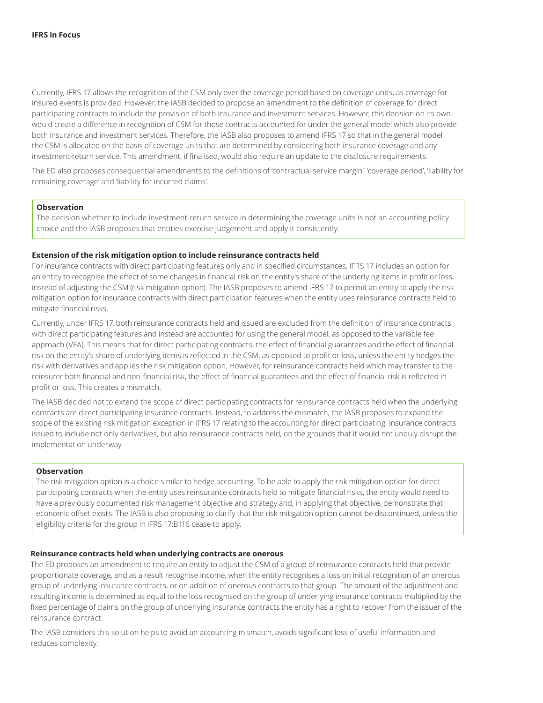Currently, IFRS 17 allows the recognition of the CSM only over the coverage period based on coverage units, as coverage for insured events is provided. However, the IASB decided to propose an amendment to the definition of coverage for direct participating contracts to include the provision of both insurance and investment services. However, this decision on its own would create a difference in recognition of CSM for those contracts accounted for under the general model which also provide both insurance and investment services. Therefore, the IASB also proposes to amend IFRS 17 so that in the general model the CSM is allocated on the basis of coverage units that are determined by considering both insurance coverage and any investment-return service. This amendment, if finalised, would also require an update to the disclosure requirements.

The ED also proposes consequential amendments to the definitions of 'contractual service margin', 'coverage period', 'liability for remaining coverage' and 'liability for incurred claims'.

#### **Observation**

The decision whether to include investment-return service in determining the coverage units is not an accounting policy choice and the IASB proposes that entities exercise judgement and apply it consistently.

#### **Extension of the risk mitigation option to include reinsurance contracts held**

For insurance contracts with direct participating features only and in specified circumstances, IFRS 17 includes an option for an entity to recognise the effect of some changes in financial risk on the entity's share of the underlying items in profit or loss, instead of adjusting the CSM (risk mitigation option). The IASB proposes to amend IFRS 17 to permit an entity to apply the risk mitigation option for insurance contracts with direct participation features when the entity uses reinsurance contracts held to mitigate financial risks.

Currently, under IFRS 17, both reinsurance contracts held and issued are excluded from the definition of insurance contracts with direct participating features and instead are accounted for using the general model, as opposed to the variable fee approach (VFA). This means that for direct participating contracts, the effect of financial guarantees and the effect of financial risk on the entity's share of underlying items is reflected in the CSM, as opposed to profit or loss, unless the entity hedges the risk with derivatives and applies the risk mitigation option. However, for reinsurance contracts held which may transfer to the reinsurer both financial and non-financial risk, the effect of financial guarantees and the effect of financial risk is reflected in profit or loss. This creates a mismatch.

The IASB decided not to extend the scope of direct participating contracts for reinsurance contracts held when the underlying contracts are direct participating insurance contracts. Instead, to address the mismatch, the IASB proposes to expand the scope of the existing risk mitigation exception in IFRS 17 relating to the accounting for direct participating insurance contracts issued to include not only derivatives, but also reinsurance contracts held, on the grounds that it would not unduly disrupt the implementation underway.

#### **Observation**

The risk mitigation option is a choice similar to hedge accounting. To be able to apply the risk mitigation option for direct participating contracts when the entity uses reinsurance contracts held to mitigate financial risks, the entity would need to have a previously documented risk management objective and strategy and, in applying that objective, demonstrate that economic offset exists. The IASB is also proposing to clarify that the risk mitigation option cannot be discontinued, unless the eligibility criteria for the group in IFRS 17:B116 cease to apply.

#### **Reinsurance contracts held when underlying contracts are onerous**

The ED proposes an amendment to require an entity to adjust the CSM of a group of reinsurance contracts held that provide proportionate coverage, and as a result recognise income, when the entity recognises a loss on initial recognition of an onerous group of underlying insurance contracts, or on addition of onerous contracts to that group. The amount of the adjustment and resulting income is determined as equal to the loss recognised on the group of underlying insurance contracts multiplied by the fixed percentage of claims on the group of underlying insurance contracts the entity has a right to recover from the issuer of the reinsurance contract.

The IASB considers this solution helps to avoid an accounting mismatch, avoids significant loss of useful information and reduces complexity.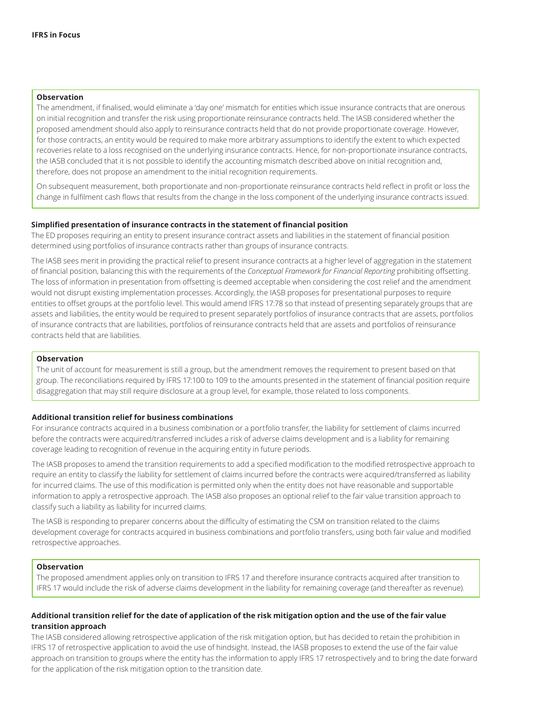#### **Observation**

The amendment, if finalised, would eliminate a 'day one' mismatch for entities which issue insurance contracts that are onerous on initial recognition and transfer the risk using proportionate reinsurance contracts held. The IASB considered whether the proposed amendment should also apply to reinsurance contracts held that do not provide proportionate coverage. However, for those contracts, an entity would be required to make more arbitrary assumptions to identify the extent to which expected recoveries relate to a loss recognised on the underlying insurance contracts. Hence, for non-proportionate insurance contracts, the IASB concluded that it is not possible to identify the accounting mismatch described above on initial recognition and, therefore, does not propose an amendment to the initial recognition requirements.

On subsequent measurement, both proportionate and non-proportionate reinsurance contracts held reflect in profit or loss the change in fulfilment cash flows that results from the change in the loss component of the underlying insurance contracts issued.

#### **Simplified presentation of insurance contracts in the statement of financial position**

The ED proposes requiring an entity to present insurance contract assets and liabilities in the statement of financial position determined using portfolios of insurance contracts rather than groups of insurance contracts.

The IASB sees merit in providing the practical relief to present insurance contracts at a higher level of aggregation in the statement of financial position, balancing this with the requirements of the *Conceptual Framework for Financial Reporting* prohibiting offsetting. The loss of information in presentation from offsetting is deemed acceptable when considering the cost relief and the amendment would not disrupt existing implementation processes. Accordingly, the IASB proposes for presentational purposes to require entities to offset groups at the portfolio level. This would amend IFRS 17:78 so that instead of presenting separately groups that are assets and liabilities, the entity would be required to present separately portfolios of insurance contracts that are assets, portfolios of insurance contracts that are liabilities, portfolios of reinsurance contracts held that are assets and portfolios of reinsurance contracts held that are liabilities.

#### **Observation**

The unit of account for measurement is still a group, but the amendment removes the requirement to present based on that group. The reconciliations required by IFRS 17:100 to 109 to the amounts presented in the statement of financial position require disaggregation that may still require disclosure at a group level, for example, those related to loss components.

#### **Additional transition relief for business combinations**

For insurance contracts acquired in a business combination or a portfolio transfer, the liability for settlement of claims incurred before the contracts were acquired/transferred includes a risk of adverse claims development and is a liability for remaining coverage leading to recognition of revenue in the acquiring entity in future periods.

The IASB proposes to amend the transition requirements to add a specified modification to the modified retrospective approach to require an entity to classify the liability for settlement of claims incurred before the contracts were acquired/transferred as liability for incurred claims. The use of this modification is permitted only when the entity does not have reasonable and supportable information to apply a retrospective approach. The IASB also proposes an optional relief to the fair value transition approach to classify such a liability as liability for incurred claims.

The IASB is responding to preparer concerns about the difficulty of estimating the CSM on transition related to the claims development coverage for contracts acquired in business combinations and portfolio transfers, using both fair value and modified retrospective approaches.

#### **Observation**

The proposed amendment applies only on transition to IFRS 17 and therefore insurance contracts acquired after transition to IFRS 17 would include the risk of adverse claims development in the liability for remaining coverage (and thereafter as revenue).

#### **Additional transition relief for the date of application of the risk mitigation option and the use of the fair value transition approach**

The IASB considered allowing retrospective application of the risk mitigation option, but has decided to retain the prohibition in IFRS 17 of retrospective application to avoid the use of hindsight. Instead, the IASB proposes to extend the use of the fair value approach on transition to groups where the entity has the information to apply IFRS 17 retrospectively and to bring the date forward for the application of the risk mitigation option to the transition date.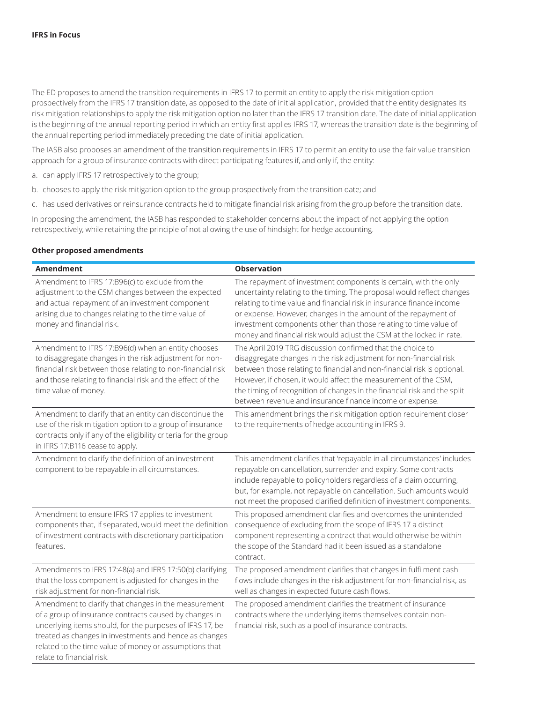The ED proposes to amend the transition requirements in IFRS 17 to permit an entity to apply the risk mitigation option prospectively from the IFRS 17 transition date, as opposed to the date of initial application, provided that the entity designates its risk mitigation relationships to apply the risk mitigation option no later than the IFRS 17 transition date. The date of initial application is the beginning of the annual reporting period in which an entity first applies IFRS 17, whereas the transition date is the beginning of the annual reporting period immediately preceding the date of initial application.

The IASB also proposes an amendment of the transition requirements in IFRS 17 to permit an entity to use the fair value transition approach for a group of insurance contracts with direct participating features if, and only if, the entity:

- a. can apply IFRS 17 retrospectively to the group;
- b. chooses to apply the risk mitigation option to the group prospectively from the transition date; and
- c. has used derivatives or reinsurance contracts held to mitigate financial risk arising from the group before the transition date.

In proposing the amendment, the IASB has responded to stakeholder concerns about the impact of not applying the option retrospectively, while retaining the principle of not allowing the use of hindsight for hedge accounting.

#### **Other proposed amendments**

| <b>Amendment</b>                                                                                                                                                                                                                                                                                                            | <b>Observation</b>                                                                                                                                                                                                                                                                                                                                                                                                                |
|-----------------------------------------------------------------------------------------------------------------------------------------------------------------------------------------------------------------------------------------------------------------------------------------------------------------------------|-----------------------------------------------------------------------------------------------------------------------------------------------------------------------------------------------------------------------------------------------------------------------------------------------------------------------------------------------------------------------------------------------------------------------------------|
| Amendment to IFRS 17:B96(c) to exclude from the<br>adjustment to the CSM changes between the expected<br>and actual repayment of an investment component<br>arising due to changes relating to the time value of<br>money and financial risk.                                                                               | The repayment of investment components is certain, with the only<br>uncertainty relating to the timing. The proposal would reflect changes<br>relating to time value and financial risk in insurance finance income<br>or expense. However, changes in the amount of the repayment of<br>investment components other than those relating to time value of<br>money and financial risk would adjust the CSM at the locked in rate. |
| Amendment to IFRS 17:B96(d) when an entity chooses<br>to disaggregate changes in the risk adjustment for non-<br>financial risk between those relating to non-financial risk<br>and those relating to financial risk and the effect of the<br>time value of money.                                                          | The April 2019 TRG discussion confirmed that the choice to<br>disaggregate changes in the risk adjustment for non-financial risk<br>between those relating to financial and non-financial risk is optional.<br>However, if chosen, it would affect the measurement of the CSM,<br>the timing of recognition of changes in the financial risk and the split<br>between revenue and insurance finance income or expense.            |
| Amendment to clarify that an entity can discontinue the<br>use of the risk mitigation option to a group of insurance<br>contracts only if any of the eligibility criteria for the group<br>in IFRS 17:B116 cease to apply.                                                                                                  | This amendment brings the risk mitigation option requirement closer<br>to the requirements of hedge accounting in IFRS 9.                                                                                                                                                                                                                                                                                                         |
| Amendment to clarify the definition of an investment<br>component to be repayable in all circumstances.                                                                                                                                                                                                                     | This amendment clarifies that 'repayable in all circumstances' includes<br>repayable on cancellation, surrender and expiry. Some contracts<br>include repayable to policyholders regardless of a claim occurring,<br>but, for example, not repayable on cancellation. Such amounts would<br>not meet the proposed clarified definition of investment components.                                                                  |
| Amendment to ensure IFRS 17 applies to investment<br>components that, if separated, would meet the definition<br>of investment contracts with discretionary participation<br>features.                                                                                                                                      | This proposed amendment clarifies and overcomes the unintended<br>consequence of excluding from the scope of IFRS 17 a distinct<br>component representing a contract that would otherwise be within<br>the scope of the Standard had it been issued as a standalone<br>contract.                                                                                                                                                  |
| Amendments to IFRS 17:48(a) and IFRS 17:50(b) clarifying<br>that the loss component is adjusted for changes in the<br>risk adjustment for non-financial risk.                                                                                                                                                               | The proposed amendment clarifies that changes in fulfilment cash<br>flows include changes in the risk adjustment for non-financial risk, as<br>well as changes in expected future cash flows.                                                                                                                                                                                                                                     |
| Amendment to clarify that changes in the measurement<br>of a group of insurance contracts caused by changes in<br>underlying items should, for the purposes of IFRS 17, be<br>treated as changes in investments and hence as changes<br>related to the time value of money or assumptions that<br>relate to financial risk. | The proposed amendment clarifies the treatment of insurance<br>contracts where the underlying items themselves contain non-<br>financial risk, such as a pool of insurance contracts.                                                                                                                                                                                                                                             |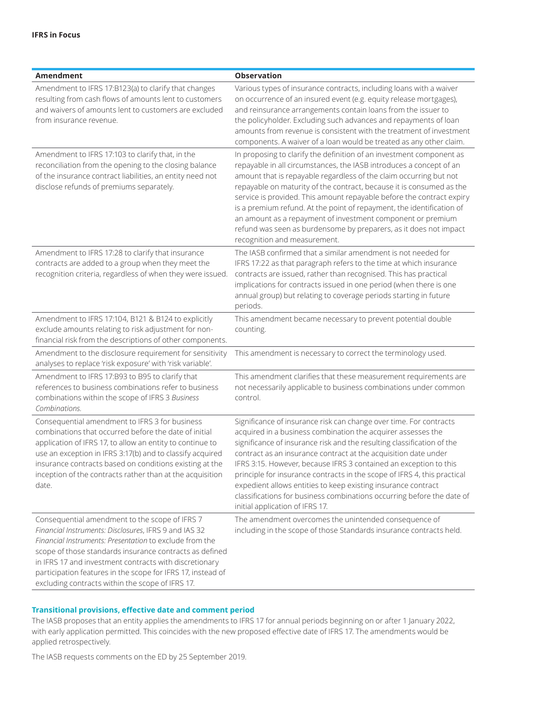| Amendment                                                                                                                                                                                                                                                                                                                                                                                                  | <b>Observation</b>                                                                                                                                                                                                                                                                                                                                                                                                                                                                                                                                                                                              |
|------------------------------------------------------------------------------------------------------------------------------------------------------------------------------------------------------------------------------------------------------------------------------------------------------------------------------------------------------------------------------------------------------------|-----------------------------------------------------------------------------------------------------------------------------------------------------------------------------------------------------------------------------------------------------------------------------------------------------------------------------------------------------------------------------------------------------------------------------------------------------------------------------------------------------------------------------------------------------------------------------------------------------------------|
| Amendment to IFRS 17:B123(a) to clarify that changes<br>resulting from cash flows of amounts lent to customers<br>and waivers of amounts lent to customers are excluded<br>from insurance revenue.                                                                                                                                                                                                         | Various types of insurance contracts, including loans with a waiver<br>on occurrence of an insured event (e.g. equity release mortgages),<br>and reinsurance arrangements contain loans from the issuer to<br>the policyholder. Excluding such advances and repayments of loan<br>amounts from revenue is consistent with the treatment of investment<br>components. A waiver of a loan would be treated as any other claim.                                                                                                                                                                                    |
| Amendment to IFRS 17:103 to clarify that, in the<br>reconciliation from the opening to the closing balance<br>of the insurance contract liabilities, an entity need not<br>disclose refunds of premiums separately.                                                                                                                                                                                        | In proposing to clarify the definition of an investment component as<br>repayable in all circumstances, the IASB introduces a concept of an<br>amount that is repayable regardless of the claim occurring but not<br>repayable on maturity of the contract, because it is consumed as the<br>service is provided. This amount repayable before the contract expiry<br>is a premium refund. At the point of repayment, the identification of<br>an amount as a repayment of investment component or premium<br>refund was seen as burdensome by preparers, as it does not impact<br>recognition and measurement. |
| Amendment to IFRS 17:28 to clarify that insurance<br>contracts are added to a group when they meet the<br>recognition criteria, regardless of when they were issued.                                                                                                                                                                                                                                       | The IASB confirmed that a similar amendment is not needed for<br>IFRS 17:22 as that paragraph refers to the time at which insurance<br>contracts are issued, rather than recognised. This has practical<br>implications for contracts issued in one period (when there is one<br>annual group) but relating to coverage periods starting in future<br>periods.                                                                                                                                                                                                                                                  |
| Amendment to IFRS 17:104, B121 & B124 to explicitly<br>exclude amounts relating to risk adjustment for non-<br>financial risk from the descriptions of other components.                                                                                                                                                                                                                                   | This amendment became necessary to prevent potential double<br>counting.                                                                                                                                                                                                                                                                                                                                                                                                                                                                                                                                        |
| Amendment to the disclosure requirement for sensitivity<br>analyses to replace 'risk exposure' with 'risk variable'.                                                                                                                                                                                                                                                                                       | This amendment is necessary to correct the terminology used.                                                                                                                                                                                                                                                                                                                                                                                                                                                                                                                                                    |
| Amendment to IFRS 17:B93 to B95 to clarify that<br>references to business combinations refer to business<br>combinations within the scope of IFRS 3 Business<br>Combinations.                                                                                                                                                                                                                              | This amendment clarifies that these measurement requirements are<br>not necessarily applicable to business combinations under common<br>control.                                                                                                                                                                                                                                                                                                                                                                                                                                                                |
| Consequential amendment to IFRS 3 for business<br>combinations that occurred before the date of initial<br>application of IFRS 17, to allow an entity to continue to<br>use an exception in IFRS 3:17(b) and to classify acquired<br>insurance contracts based on conditions existing at the<br>inception of the contracts rather than at the acquisition<br>date.                                         | Significance of insurance risk can change over time. For contracts<br>acquired in a business combination the acquirer assesses the<br>significance of insurance risk and the resulting classification of the<br>contract as an insurance contract at the acquisition date under<br>IFRS 3:15. However, because IFRS 3 contained an exception to this<br>principle for insurance contracts in the scope of IFRS 4, this practical<br>expedient allows entities to keep existing insurance contract<br>classifications for business combinations occurring before the date of<br>initial application of IFRS 17.  |
| Consequential amendment to the scope of IFRS 7<br>Financial Instruments: Disclosures, IFRS 9 and IAS 32<br>Financial Instruments: Presentation to exclude from the<br>scope of those standards insurance contracts as defined<br>in IFRS 17 and investment contracts with discretionary<br>participation features in the scope for IFRS 17, instead of<br>excluding contracts within the scope of IFRS 17. | The amendment overcomes the unintended consequence of<br>including in the scope of those Standards insurance contracts held.                                                                                                                                                                                                                                                                                                                                                                                                                                                                                    |

#### **Transitional provisions, effective date and comment period**

The IASB proposes that an entity applies the amendments to IFRS 17 for annual periods beginning on or after 1 January 2022, with early application permitted. This coincides with the new proposed effective date of IFRS 17. The amendments would be applied retrospectively.

The IASB requests comments on the ED by 25 September 2019.